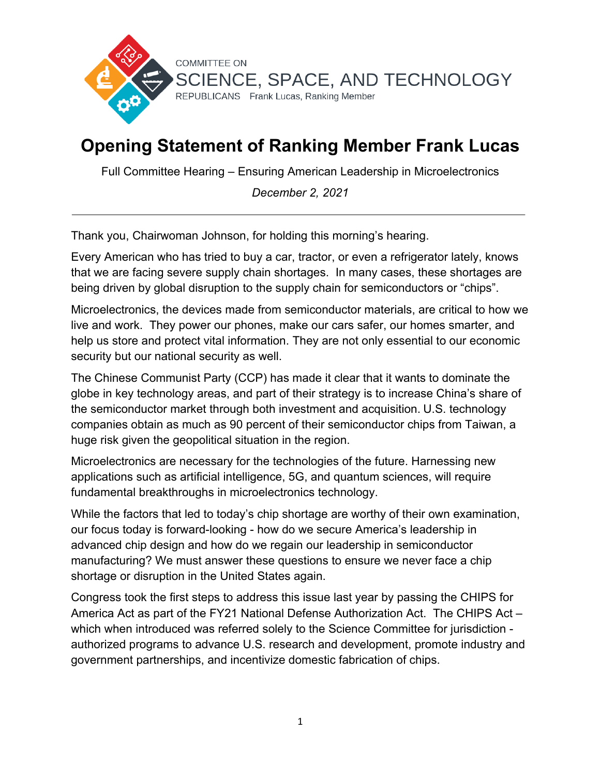

## **Opening Statement of Ranking Member Frank Lucas**

Full Committee Hearing – Ensuring American Leadership in Microelectronics

*December 2, 2021*

Thank you, Chairwoman Johnson, for holding this morning's hearing.

Every American who has tried to buy a car, tractor, or even a refrigerator lately, knows that we are facing severe supply chain shortages. In many cases, these shortages are being driven by global disruption to the supply chain for semiconductors or "chips".

Microelectronics, the devices made from semiconductor materials, are critical to how we live and work. They power our phones, make our cars safer, our homes smarter, and help us store and protect vital information. They are not only essential to our economic security but our national security as well.

The Chinese Communist Party (CCP) has made it clear that it wants to dominate the globe in key technology areas, and part of their strategy is to increase China's share of the semiconductor market through both investment and acquisition. U.S. technology companies obtain as much as 90 percent of their semiconductor chips from Taiwan, a huge risk given the geopolitical situation in the region.

Microelectronics are necessary for the technologies of the future. Harnessing new applications such as artificial intelligence, 5G, and quantum sciences, will require fundamental breakthroughs in microelectronics technology.

While the factors that led to today's chip shortage are worthy of their own examination, our focus today is forward-looking - how do we secure America's leadership in advanced chip design and how do we regain our leadership in semiconductor manufacturing? We must answer these questions to ensure we never face a chip shortage or disruption in the United States again.

Congress took the first steps to address this issue last year by passing the CHIPS for America Act as part of the FY21 National Defense Authorization Act. The CHIPS Act – which when introduced was referred solely to the Science Committee for jurisdiction authorized programs to advance U.S. research and development, promote industry and government partnerships, and incentivize domestic fabrication of chips.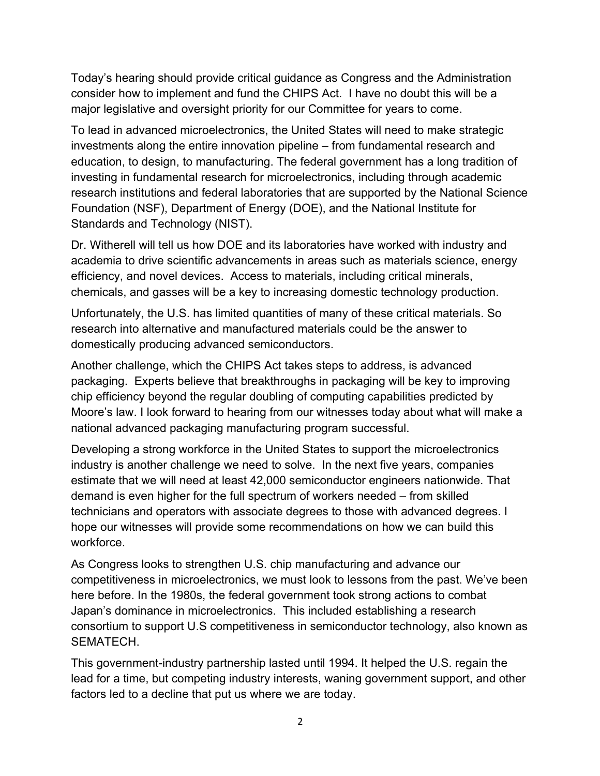Today's hearing should provide critical guidance as Congress and the Administration consider how to implement and fund the CHIPS Act. I have no doubt this will be a major legislative and oversight priority for our Committee for years to come.

To lead in advanced microelectronics, the United States will need to make strategic investments along the entire innovation pipeline – from fundamental research and education, to design, to manufacturing. The federal government has a long tradition of investing in fundamental research for microelectronics, including through academic research institutions and federal laboratories that are supported by the National Science Foundation (NSF), Department of Energy (DOE), and the National Institute for Standards and Technology (NIST).

Dr. Witherell will tell us how DOE and its laboratories have worked with industry and academia to drive scientific advancements in areas such as materials science, energy efficiency, and novel devices. Access to materials, including critical minerals, chemicals, and gasses will be a key to increasing domestic technology production.

Unfortunately, the U.S. has limited quantities of many of these critical materials. So research into alternative and manufactured materials could be the answer to domestically producing advanced semiconductors.

Another challenge, which the CHIPS Act takes steps to address, is advanced packaging. Experts believe that breakthroughs in packaging will be key to improving chip efficiency beyond the regular doubling of computing capabilities predicted by Moore's law. I look forward to hearing from our witnesses today about what will make a national advanced packaging manufacturing program successful.

Developing a strong workforce in the United States to support the microelectronics industry is another challenge we need to solve. In the next five years, companies estimate that we will need at least 42,000 semiconductor engineers nationwide. That demand is even higher for the full spectrum of workers needed – from skilled technicians and operators with associate degrees to those with advanced degrees. I hope our witnesses will provide some recommendations on how we can build this workforce.

As Congress looks to strengthen U.S. chip manufacturing and advance our competitiveness in microelectronics, we must look to lessons from the past. We've been here before. In the 1980s, the federal government took strong actions to combat Japan's dominance in microelectronics. This included establishing a research consortium to support U.S competitiveness in semiconductor technology, also known as SEMATECH.

This government-industry partnership lasted until 1994. It helped the U.S. regain the lead for a time, but competing industry interests, waning government support, and other factors led to a decline that put us where we are today.